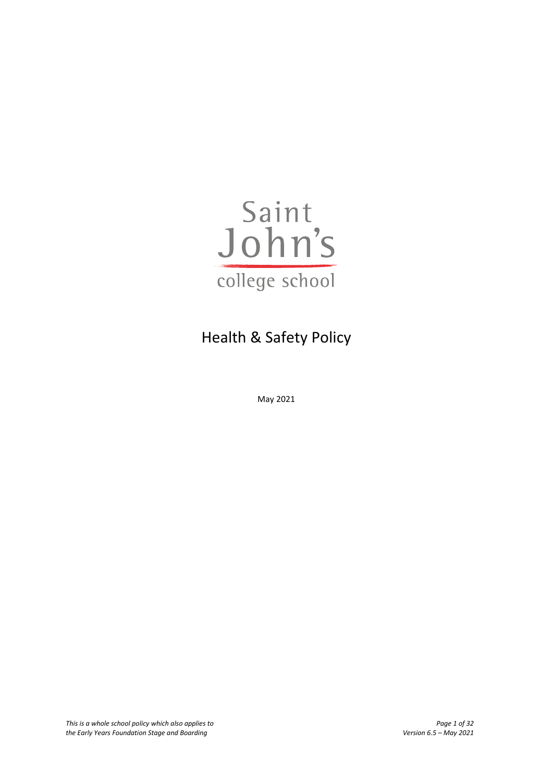

# Health & Safety Policy

May 2021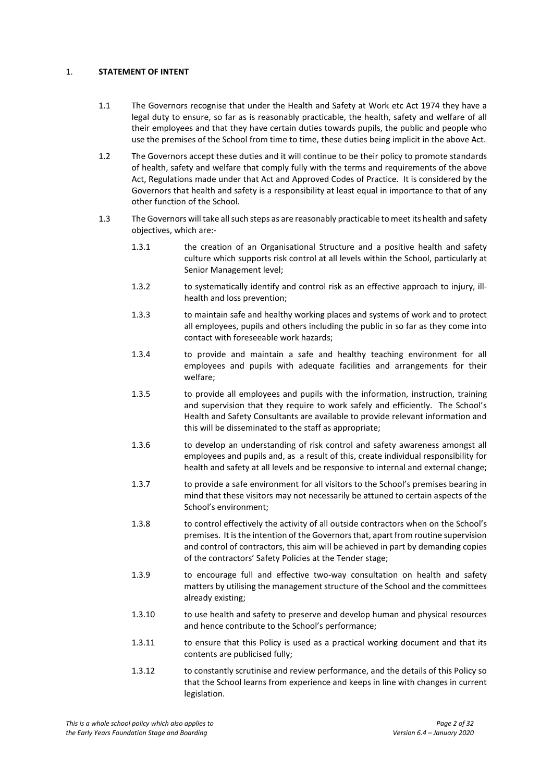## 1. **STATEMENT OF INTENT**

- 1.1 The Governors recognise that under the Health and Safety at Work etc Act 1974 they have a legal duty to ensure, so far as is reasonably practicable, the health, safety and welfare of all their employees and that they have certain duties towards pupils, the public and people who use the premises of the School from time to time, these duties being implicit in the above Act.
- 1.2 The Governors accept these duties and it will continue to be their policy to promote standards of health, safety and welfare that comply fully with the terms and requirements of the above Act, Regulations made under that Act and Approved Codes of Practice. It is considered by the Governors that health and safety is a responsibility at least equal in importance to that of any other function of the School.
- 1.3 The Governors will take all such steps as are reasonably practicable to meet its health and safety objectives, which are:-
	- 1.3.1 the creation of an Organisational Structure and a positive health and safety culture which supports risk control at all levels within the School, particularly at Senior Management level;
	- 1.3.2 to systematically identify and control risk as an effective approach to injury, illhealth and loss prevention;
	- 1.3.3 to maintain safe and healthy working places and systems of work and to protect all employees, pupils and others including the public in so far as they come into contact with foreseeable work hazards;
	- 1.3.4 to provide and maintain a safe and healthy teaching environment for all employees and pupils with adequate facilities and arrangements for their welfare;
	- 1.3.5 to provide all employees and pupils with the information, instruction, training and supervision that they require to work safely and efficiently. The School's Health and Safety Consultants are available to provide relevant information and this will be disseminated to the staff as appropriate;
	- 1.3.6 to develop an understanding of risk control and safety awareness amongst all employees and pupils and, as a result of this, create individual responsibility for health and safety at all levels and be responsive to internal and external change;
	- 1.3.7 to provide a safe environment for all visitors to the School's premises bearing in mind that these visitors may not necessarily be attuned to certain aspects of the School's environment;
	- 1.3.8 to control effectively the activity of all outside contractors when on the School's premises. It is the intention of the Governors that, apart from routine supervision and control of contractors, this aim will be achieved in part by demanding copies of the contractors' Safety Policies at the Tender stage;
	- 1.3.9 to encourage full and effective two-way consultation on health and safety matters by utilising the management structure of the School and the committees already existing;
	- 1.3.10 to use health and safety to preserve and develop human and physical resources and hence contribute to the School's performance;
	- 1.3.11 to ensure that this Policy is used as a practical working document and that its contents are publicised fully;
	- 1.3.12 to constantly scrutinise and review performance, and the details of this Policy so that the School learns from experience and keeps in line with changes in current legislation.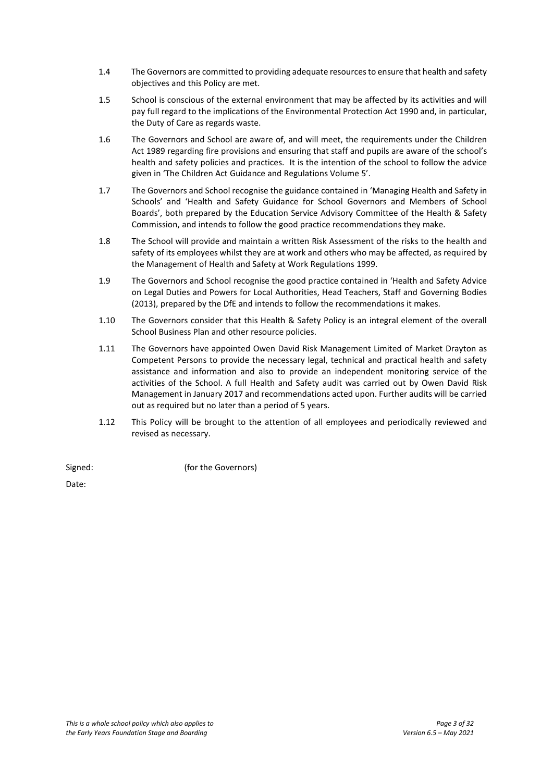- 1.4 The Governors are committed to providing adequate resources to ensure that health and safety objectives and this Policy are met.
- 1.5 School is conscious of the external environment that may be affected by its activities and will pay full regard to the implications of the Environmental Protection Act 1990 and, in particular, the Duty of Care as regards waste.
- 1.6 The Governors and School are aware of, and will meet, the requirements under the Children Act 1989 regarding fire provisions and ensuring that staff and pupils are aware of the school's health and safety policies and practices. It is the intention of the school to follow the advice given in 'The Children Act Guidance and Regulations Volume 5'.
- 1.7 The Governors and School recognise the guidance contained in 'Managing Health and Safety in Schools' and 'Health and Safety Guidance for School Governors and Members of School Boards', both prepared by the Education Service Advisory Committee of the Health & Safety Commission, and intends to follow the good practice recommendations they make.
- 1.8 The School will provide and maintain a written Risk Assessment of the risks to the health and safety of its employees whilst they are at work and others who may be affected, as required by the Management of Health and Safety at Work Regulations 1999.
- 1.9 The Governors and School recognise the good practice contained in 'Health and Safety Advice on Legal Duties and Powers for Local Authorities, Head Teachers, Staff and Governing Bodies (2013), prepared by the DfE and intends to follow the recommendations it makes.
- 1.10 The Governors consider that this Health & Safety Policy is an integral element of the overall School Business Plan and other resource policies.
- 1.11 The Governors have appointed Owen David Risk Management Limited of Market Drayton as Competent Persons to provide the necessary legal, technical and practical health and safety assistance and information and also to provide an independent monitoring service of the activities of the School. A full Health and Safety audit was carried out by Owen David Risk Management in January 2017 and recommendations acted upon. Further audits will be carried out as required but no later than a period of 5 years.
- 1.12 This Policy will be brought to the attention of all employees and periodically reviewed and revised as necessary.

| Signed: | (for the Governors) |
|---------|---------------------|
| $\sim$  |                     |

Date: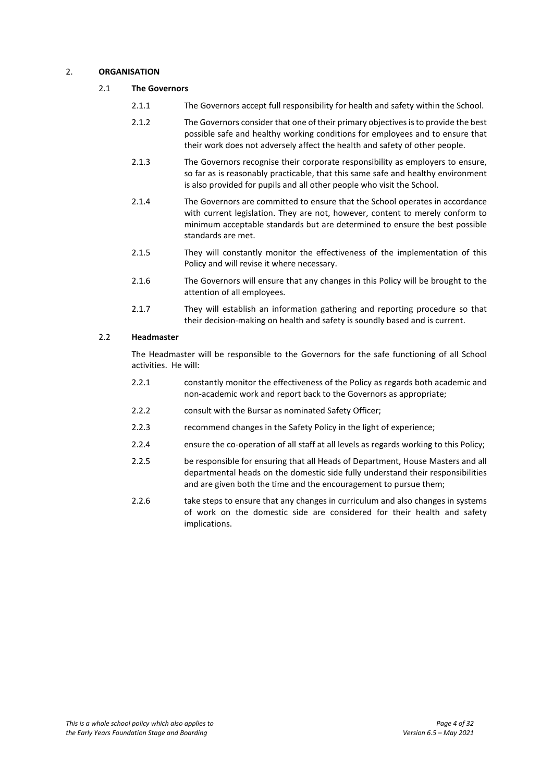## 2. **ORGANISATION**

## 2.1 **The Governors**

- 2.1.1 The Governors accept full responsibility for health and safety within the School.
- 2.1.2 The Governors consider that one of their primary objectives is to provide the best possible safe and healthy working conditions for employees and to ensure that their work does not adversely affect the health and safety of other people.
- 2.1.3 The Governors recognise their corporate responsibility as employers to ensure, so far as is reasonably practicable, that this same safe and healthy environment is also provided for pupils and all other people who visit the School.
- 2.1.4 The Governors are committed to ensure that the School operates in accordance with current legislation. They are not, however, content to merely conform to minimum acceptable standards but are determined to ensure the best possible standards are met.
- 2.1.5 They will constantly monitor the effectiveness of the implementation of this Policy and will revise it where necessary.
- 2.1.6 The Governors will ensure that any changes in this Policy will be brought to the attention of all employees.
- 2.1.7 They will establish an information gathering and reporting procedure so that their decision-making on health and safety is soundly based and is current.

## 2.2 **Headmaster**

The Headmaster will be responsible to the Governors for the safe functioning of all School activities. He will:

- 2.2.1 constantly monitor the effectiveness of the Policy as regards both academic and non-academic work and report back to the Governors as appropriate;
- 2.2.2 consult with the Bursar as nominated Safety Officer;
- 2.2.3 recommend changes in the Safety Policy in the light of experience;
- 2.2.4 ensure the co-operation of all staff at all levels as regards working to this Policy;
- 2.2.5 be responsible for ensuring that all Heads of Department, House Masters and all departmental heads on the domestic side fully understand their responsibilities and are given both the time and the encouragement to pursue them;
- 2.2.6 take steps to ensure that any changes in curriculum and also changes in systems of work on the domestic side are considered for their health and safety implications.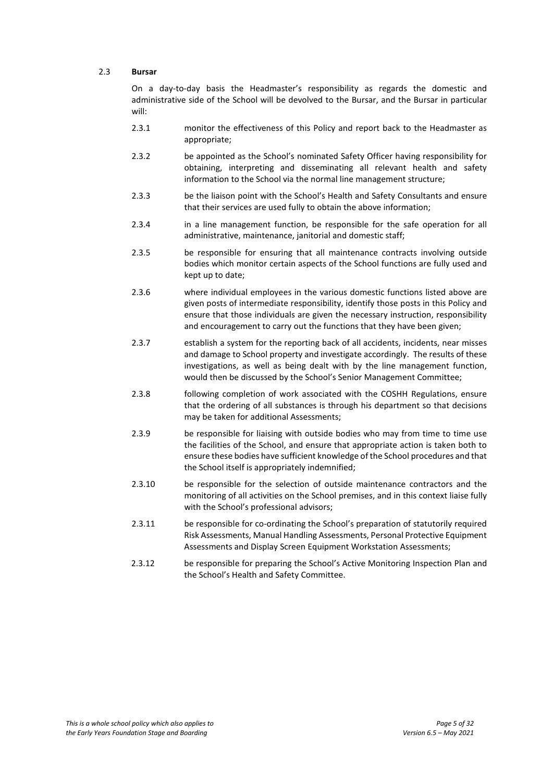## 2.3 **Bursar**

On a day-to-day basis the Headmaster's responsibility as regards the domestic and administrative side of the School will be devolved to the Bursar, and the Bursar in particular will:

- 2.3.1 monitor the effectiveness of this Policy and report back to the Headmaster as appropriate;
- 2.3.2 be appointed as the School's nominated Safety Officer having responsibility for obtaining, interpreting and disseminating all relevant health and safety information to the School via the normal line management structure;
- 2.3.3 be the liaison point with the School's Health and Safety Consultants and ensure that their services are used fully to obtain the above information;
- 2.3.4 in a line management function, be responsible for the safe operation for all administrative, maintenance, janitorial and domestic staff;
- 2.3.5 be responsible for ensuring that all maintenance contracts involving outside bodies which monitor certain aspects of the School functions are fully used and kept up to date;
- 2.3.6 where individual employees in the various domestic functions listed above are given posts of intermediate responsibility, identify those posts in this Policy and ensure that those individuals are given the necessary instruction, responsibility and encouragement to carry out the functions that they have been given;
- 2.3.7 establish a system for the reporting back of all accidents, incidents, near misses and damage to School property and investigate accordingly. The results of these investigations, as well as being dealt with by the line management function, would then be discussed by the School's Senior Management Committee;
- 2.3.8 following completion of work associated with the COSHH Regulations, ensure that the ordering of all substances is through his department so that decisions may be taken for additional Assessments;
- 2.3.9 be responsible for liaising with outside bodies who may from time to time use the facilities of the School, and ensure that appropriate action is taken both to ensure these bodies have sufficient knowledge of the School procedures and that the School itself is appropriately indemnified;
- 2.3.10 be responsible for the selection of outside maintenance contractors and the monitoring of all activities on the School premises, and in this context liaise fully with the School's professional advisors;
- 2.3.11 be responsible for co-ordinating the School's preparation of statutorily required Risk Assessments, Manual Handling Assessments, Personal Protective Equipment Assessments and Display Screen Equipment Workstation Assessments;
- 2.3.12 be responsible for preparing the School's Active Monitoring Inspection Plan and the School's Health and Safety Committee.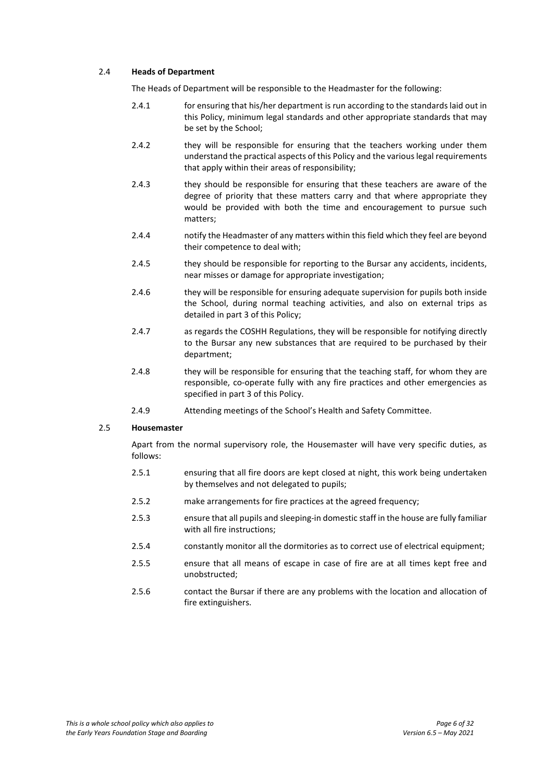## 2.4 **Heads of Department**

The Heads of Department will be responsible to the Headmaster for the following:

- 2.4.1 for ensuring that his/her department is run according to the standards laid out in this Policy, minimum legal standards and other appropriate standards that may be set by the School;
- 2.4.2 they will be responsible for ensuring that the teachers working under them understand the practical aspects of this Policy and the various legal requirements that apply within their areas of responsibility;
- 2.4.3 they should be responsible for ensuring that these teachers are aware of the degree of priority that these matters carry and that where appropriate they would be provided with both the time and encouragement to pursue such matters;
- 2.4.4 notify the Headmaster of any matters within this field which they feel are beyond their competence to deal with;
- 2.4.5 they should be responsible for reporting to the Bursar any accidents, incidents, near misses or damage for appropriate investigation;
- 2.4.6 they will be responsible for ensuring adequate supervision for pupils both inside the School, during normal teaching activities, and also on external trips as detailed in part 3 of this Policy;
- 2.4.7 as regards the COSHH Regulations, they will be responsible for notifying directly to the Bursar any new substances that are required to be purchased by their department;
- 2.4.8 they will be responsible for ensuring that the teaching staff, for whom they are responsible, co-operate fully with any fire practices and other emergencies as specified in part 3 of this Policy.
- 2.4.9 Attending meetings of the School's Health and Safety Committee.

## 2.5 **Housemaster**

Apart from the normal supervisory role, the Housemaster will have very specific duties, as follows:

- 2.5.1 ensuring that all fire doors are kept closed at night, this work being undertaken by themselves and not delegated to pupils;
- 2.5.2 make arrangements for fire practices at the agreed frequency;
- 2.5.3 ensure that all pupils and sleeping-in domestic staff in the house are fully familiar with all fire instructions;
- 2.5.4 constantly monitor all the dormitories as to correct use of electrical equipment;
- 2.5.5 ensure that all means of escape in case of fire are at all times kept free and unobstructed;
- 2.5.6 contact the Bursar if there are any problems with the location and allocation of fire extinguishers.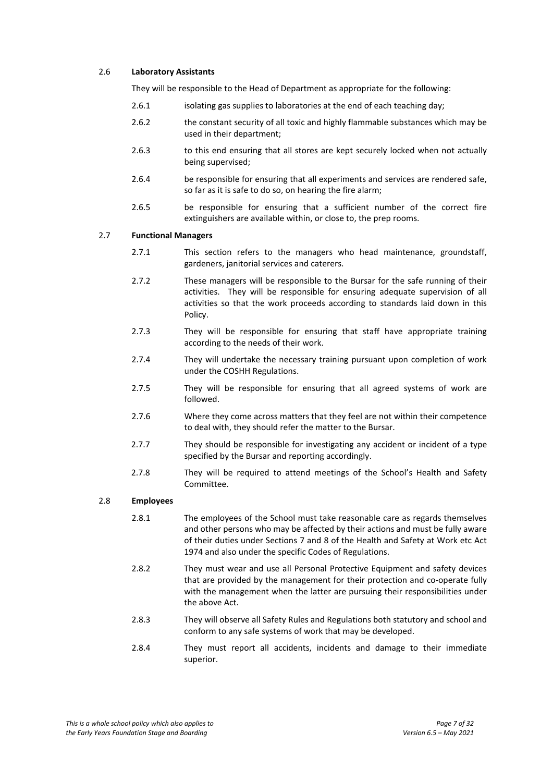## 2.6 **Laboratory Assistants**

They will be responsible to the Head of Department as appropriate for the following:

- 2.6.1 isolating gas supplies to laboratories at the end of each teaching day;
- 2.6.2 the constant security of all toxic and highly flammable substances which may be used in their department;
- 2.6.3 to this end ensuring that all stores are kept securely locked when not actually being supervised;
- 2.6.4 be responsible for ensuring that all experiments and services are rendered safe, so far as it is safe to do so, on hearing the fire alarm;
- 2.6.5 be responsible for ensuring that a sufficient number of the correct fire extinguishers are available within, or close to, the prep rooms.

#### 2.7 **Functional Managers**

- 2.7.1 This section refers to the managers who head maintenance, groundstaff, gardeners, janitorial services and caterers.
- 2.7.2 These managers will be responsible to the Bursar for the safe running of their activities. They will be responsible for ensuring adequate supervision of all activities so that the work proceeds according to standards laid down in this Policy.
- 2.7.3 They will be responsible for ensuring that staff have appropriate training according to the needs of their work.
- 2.7.4 They will undertake the necessary training pursuant upon completion of work under the COSHH Regulations.
- 2.7.5 They will be responsible for ensuring that all agreed systems of work are followed.
- 2.7.6 Where they come across matters that they feel are not within their competence to deal with, they should refer the matter to the Bursar.
- 2.7.7 They should be responsible for investigating any accident or incident of a type specified by the Bursar and reporting accordingly.
- 2.7.8 They will be required to attend meetings of the School's Health and Safety Committee.

#### 2.8 **Employees**

- 2.8.1 The employees of the School must take reasonable care as regards themselves and other persons who may be affected by their actions and must be fully aware of their duties under Sections 7 and 8 of the Health and Safety at Work etc Act 1974 and also under the specific Codes of Regulations.
- 2.8.2 They must wear and use all Personal Protective Equipment and safety devices that are provided by the management for their protection and co-operate fully with the management when the latter are pursuing their responsibilities under the above Act.
- 2.8.3 They will observe all Safety Rules and Regulations both statutory and school and conform to any safe systems of work that may be developed.
- 2.8.4 They must report all accidents, incidents and damage to their immediate superior.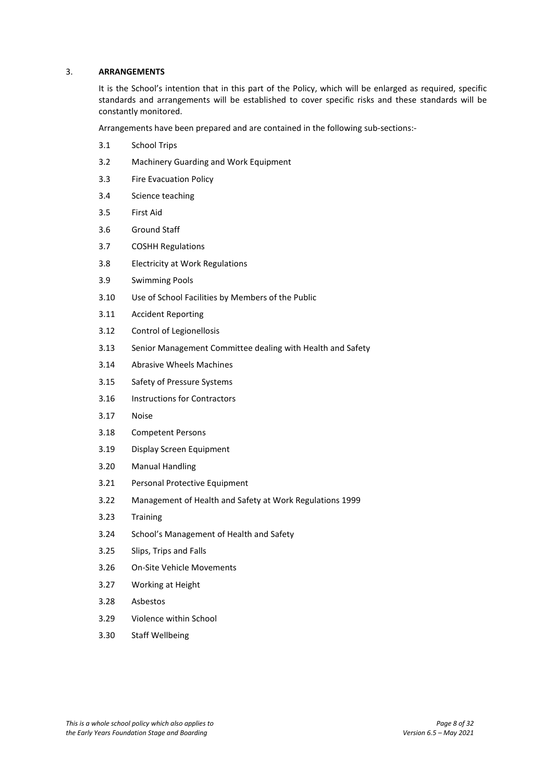#### 3. **ARRANGEMENTS**

It is the School's intention that in this part of the Policy, which will be enlarged as required, specific standards and arrangements will be established to cover specific risks and these standards will be constantly monitored.

Arrangements have been prepared and are contained in the following sub-sections:-

- 3.1 School Trips
- 3.2 Machinery Guarding and Work Equipment
- 3.3 Fire Evacuation Policy
- 3.4 Science teaching
- 3.5 First Aid
- 3.6 Ground Staff
- 3.7 COSHH Regulations
- 3.8 Electricity at Work Regulations
- 3.9 Swimming Pools
- 3.10 Use of School Facilities by Members of the Public
- 3.11 Accident Reporting
- 3.12 Control of Legionellosis
- 3.13 Senior Management Committee dealing with Health and Safety
- 3.14 Abrasive Wheels Machines
- 3.15 Safety of Pressure Systems
- 3.16 Instructions for Contractors
- 3.17 Noise
- 3.18 Competent Persons
- 3.19 Display Screen Equipment
- 3.20 Manual Handling
- 3.21 Personal Protective Equipment
- 3.22 Management of Health and Safety at Work Regulations 1999
- 3.23 Training
- 3.24 School's Management of Health and Safety
- 3.25 Slips, Trips and Falls
- 3.26 On-Site Vehicle Movements
- 3.27 Working at Height
- 3.28 Asbestos
- 3.29 Violence within School
- 3.30 Staff Wellbeing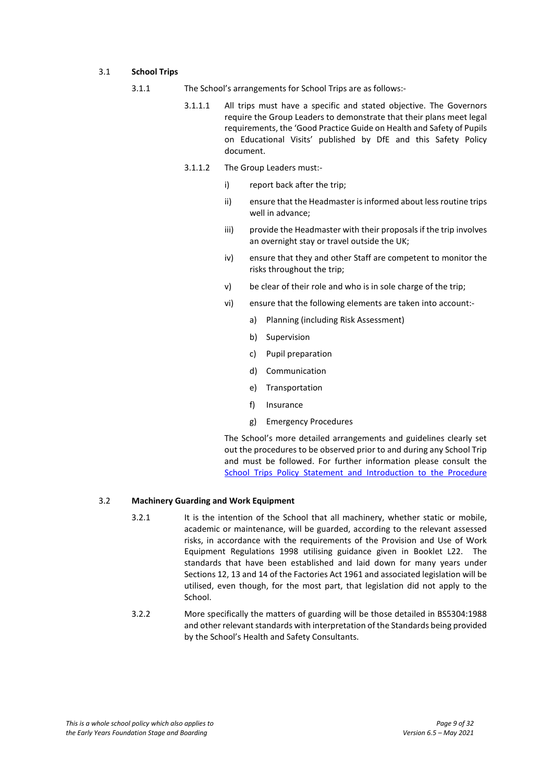## 3.1 **School Trips**

- 3.1.1 The School's arrangements for School Trips are as follows:-
	- 3.1.1.1 All trips must have a specific and stated objective. The Governors require the Group Leaders to demonstrate that their plans meet legal requirements, the 'Good Practice Guide on Health and Safety of Pupils on Educational Visits' published by DfE and this Safety Policy document.
	- 3.1.1.2 The Group Leaders must:
		- i) report back after the trip;
		- ii) ensure that the Headmaster is informed about less routine trips well in advance;
		- iii) provide the Headmaster with their proposals if the trip involves an overnight stay or travel outside the UK;
		- iv) ensure that they and other Staff are competent to monitor the risks throughout the trip;
		- v) be clear of their role and who is in sole charge of the trip;
		- vi) ensure that the following elements are taken into account:
			- a) Planning (including Risk Assessment)
			- b) Supervision
			- c) Pupil preparation
			- d) Communication
			- e) Transportation
			- f) Insurance
			- g) Emergency Procedures

The School's more detailed arrangements and guidelines clearly set out the procedures to be observed prior to and during any School Trip and must be followed. For further information please consult the [School Trips Policy Statement and Introduction to the Procedure](https://www.sjcs.co.uk/sites/default/files/styles/Policies/SJCS%20School%20Trips%20Policy.pdf)

## 3.2 **Machinery Guarding and Work Equipment**

- 3.2.1 It is the intention of the School that all machinery, whether static or mobile, academic or maintenance, will be guarded, according to the relevant assessed risks, in accordance with the requirements of the Provision and Use of Work Equipment Regulations 1998 utilising guidance given in Booklet L22. The standards that have been established and laid down for many years under Sections 12, 13 and 14 of the Factories Act 1961 and associated legislation will be utilised, even though, for the most part, that legislation did not apply to the School.
- 3.2.2 More specifically the matters of guarding will be those detailed in BS5304:1988 and other relevant standards with interpretation of the Standards being provided by the School's Health and Safety Consultants.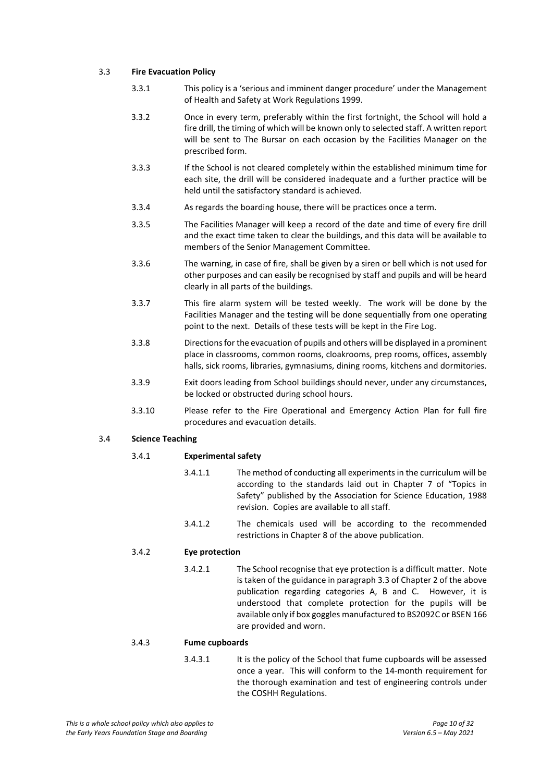## 3.3 **Fire Evacuation Policy**

- 3.3.1 This policy is a 'serious and imminent danger procedure' under the Management of Health and Safety at Work Regulations 1999.
- 3.3.2 Once in every term, preferably within the first fortnight, the School will hold a fire drill, the timing of which will be known only to selected staff. A written report will be sent to The Bursar on each occasion by the Facilities Manager on the prescribed form.
- 3.3.3 If the School is not cleared completely within the established minimum time for each site, the drill will be considered inadequate and a further practice will be held until the satisfactory standard is achieved.
- 3.3.4 As regards the boarding house, there will be practices once a term.
- 3.3.5 The Facilities Manager will keep a record of the date and time of every fire drill and the exact time taken to clear the buildings, and this data will be available to members of the Senior Management Committee.
- 3.3.6 The warning, in case of fire, shall be given by a siren or bell which is not used for other purposes and can easily be recognised by staff and pupils and will be heard clearly in all parts of the buildings.
- 3.3.7 This fire alarm system will be tested weekly. The work will be done by the Facilities Manager and the testing will be done sequentially from one operating point to the next. Details of these tests will be kept in the Fire Log.
- 3.3.8 Directions for the evacuation of pupils and others will be displayed in a prominent place in classrooms, common rooms, cloakrooms, prep rooms, offices, assembly halls, sick rooms, libraries, gymnasiums, dining rooms, kitchens and dormitories.
- 3.3.9 Exit doors leading from School buildings should never, under any circumstances, be locked or obstructed during school hours.
- 3.3.10 Please refer to the Fire Operational and Emergency Action Plan for full fire procedures and evacuation details.

## 3.4 **Science Teaching**

## 3.4.1 **Experimental safety**

- 3.4.1.1 The method of conducting all experiments in the curriculum will be according to the standards laid out in Chapter 7 of "Topics in Safety" published by the Association for Science Education, 1988 revision. Copies are available to all staff.
- 3.4.1.2 The chemicals used will be according to the recommended restrictions in Chapter 8 of the above publication.

## 3.4.2 **Eye protection**

3.4.2.1 The School recognise that eye protection is a difficult matter. Note is taken of the guidance in paragraph 3.3 of Chapter 2 of the above publication regarding categories A, B and C. However, it is understood that complete protection for the pupils will be available only if box goggles manufactured to BS2092C or BSEN 166 are provided and worn.

#### 3.4.3 **Fume cupboards**

3.4.3.1 It is the policy of the School that fume cupboards will be assessed once a year. This will conform to the 14-month requirement for the thorough examination and test of engineering controls under the COSHH Regulations.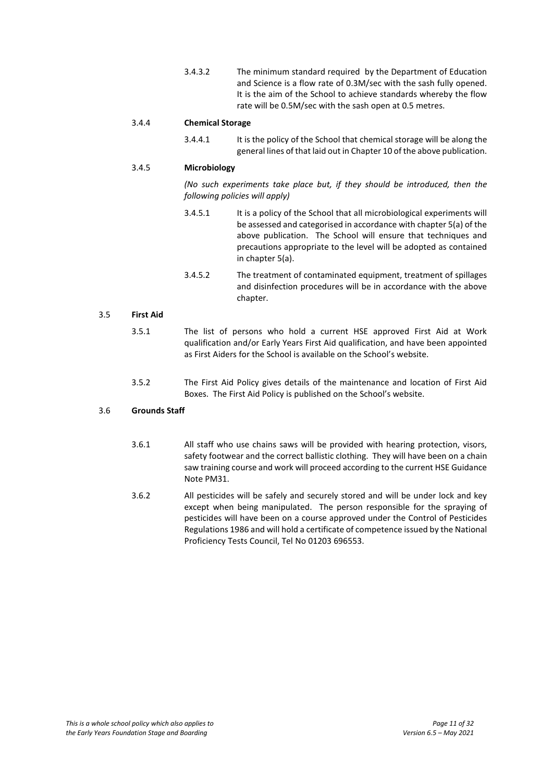3.4.3.2 The minimum standard required by the Department of Education and Science is a flow rate of 0.3M/sec with the sash fully opened. It is the aim of the School to achieve standards whereby the flow rate will be 0.5M/sec with the sash open at 0.5 metres.

## 3.4.4 **Chemical Storage**

3.4.4.1 It is the policy of the School that chemical storage will be along the general lines of that laid out in Chapter 10 of the above publication.

## 3.4.5 **Microbiology**

*(No such experiments take place but, if they should be introduced, then the following policies will apply)*

- 3.4.5.1 It is a policy of the School that all microbiological experiments will be assessed and categorised in accordance with chapter 5(a) of the above publication. The School will ensure that techniques and precautions appropriate to the level will be adopted as contained in chapter 5(a).
- 3.4.5.2 The treatment of contaminated equipment, treatment of spillages and disinfection procedures will be in accordance with the above chapter.

## 3.5 **First Aid**

- 3.5.1 The list of persons who hold a current HSE approved First Aid at Work qualification and/or Early Years First Aid qualification, and have been appointed as First Aiders for the School is available on the School's website.
- 3.5.2 The First Aid Policy gives details of the maintenance and location of First Aid Boxes. The First Aid Policy is published on the School's website.

## 3.6 **Grounds Staff**

- 3.6.1 All staff who use chains saws will be provided with hearing protection, visors, safety footwear and the correct ballistic clothing. They will have been on a chain saw training course and work will proceed according to the current HSE Guidance Note PM31.
- 3.6.2 All pesticides will be safely and securely stored and will be under lock and key except when being manipulated. The person responsible for the spraying of pesticides will have been on a course approved under the Control of Pesticides Regulations 1986 and will hold a certificate of competence issued by the National Proficiency Tests Council, Tel No 01203 696553.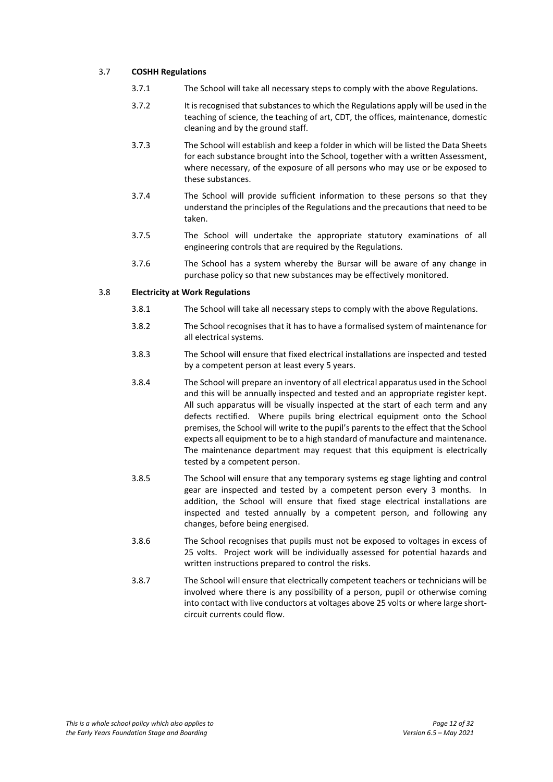## 3.7 **COSHH Regulations**

- 3.7.1 The School will take all necessary steps to comply with the above Regulations.
- 3.7.2 It is recognised that substances to which the Regulations apply will be used in the teaching of science, the teaching of art, CDT, the offices, maintenance, domestic cleaning and by the ground staff.
- 3.7.3 The School will establish and keep a folder in which will be listed the Data Sheets for each substance brought into the School, together with a written Assessment, where necessary, of the exposure of all persons who may use or be exposed to these substances.
- 3.7.4 The School will provide sufficient information to these persons so that they understand the principles of the Regulations and the precautions that need to be taken.
- 3.7.5 The School will undertake the appropriate statutory examinations of all engineering controls that are required by the Regulations.
- 3.7.6 The School has a system whereby the Bursar will be aware of any change in purchase policy so that new substances may be effectively monitored.

## 3.8 **Electricity at Work Regulations**

- 3.8.1 The School will take all necessary steps to comply with the above Regulations.
- 3.8.2 The School recognises that it has to have a formalised system of maintenance for all electrical systems.
- 3.8.3 The School will ensure that fixed electrical installations are inspected and tested by a competent person at least every 5 years.
- 3.8.4 The School will prepare an inventory of all electrical apparatus used in the School and this will be annually inspected and tested and an appropriate register kept. All such apparatus will be visually inspected at the start of each term and any defects rectified. Where pupils bring electrical equipment onto the School premises, the School will write to the pupil's parents to the effect that the School expects all equipment to be to a high standard of manufacture and maintenance. The maintenance department may request that this equipment is electrically tested by a competent person.
- 3.8.5 The School will ensure that any temporary systems eg stage lighting and control gear are inspected and tested by a competent person every 3 months. In addition, the School will ensure that fixed stage electrical installations are inspected and tested annually by a competent person, and following any changes, before being energised.
- 3.8.6 The School recognises that pupils must not be exposed to voltages in excess of 25 volts. Project work will be individually assessed for potential hazards and written instructions prepared to control the risks.
- 3.8.7 The School will ensure that electrically competent teachers or technicians will be involved where there is any possibility of a person, pupil or otherwise coming into contact with live conductors at voltages above 25 volts or where large shortcircuit currents could flow.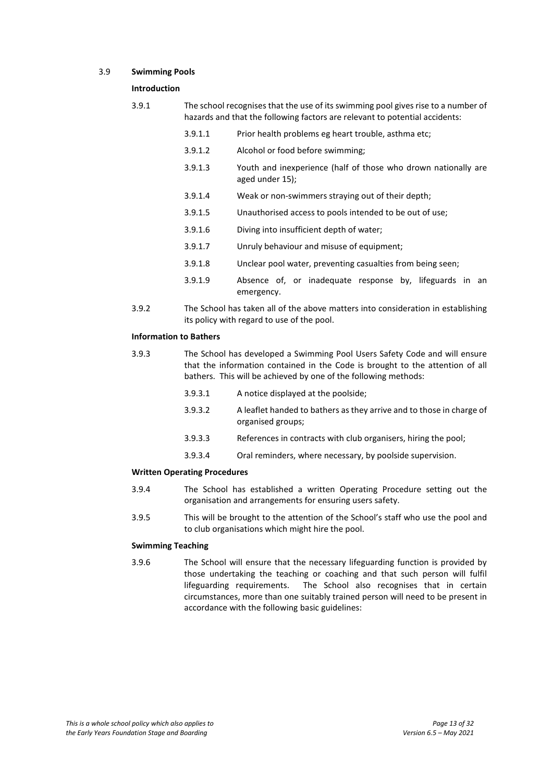#### 3.9 **Swimming Pools**

#### **Introduction**

- 3.9.1 The school recognises that the use of its swimming pool gives rise to a number of hazards and that the following factors are relevant to potential accidents:
	- 3.9.1.1 Prior health problems eg heart trouble, asthma etc;
	- 3.9.1.2 Alcohol or food before swimming;
	- 3.9.1.3 Youth and inexperience (half of those who drown nationally are aged under 15);
	- 3.9.1.4 Weak or non-swimmers straying out of their depth;
	- 3.9.1.5 Unauthorised access to pools intended to be out of use;
	- 3.9.1.6 Diving into insufficient depth of water;
	- 3.9.1.7 Unruly behaviour and misuse of equipment;
	- 3.9.1.8 Unclear pool water, preventing casualties from being seen;
	- 3.9.1.9 Absence of, or inadequate response by, lifeguards in an emergency.
- 3.9.2 The School has taken all of the above matters into consideration in establishing its policy with regard to use of the pool.

## **Information to Bathers**

- 3.9.3 The School has developed a Swimming Pool Users Safety Code and will ensure that the information contained in the Code is brought to the attention of all bathers. This will be achieved by one of the following methods:
	- 3.9.3.1 A notice displayed at the poolside;
	- 3.9.3.2 A leaflet handed to bathers as they arrive and to those in charge of organised groups;
	- 3.9.3.3 References in contracts with club organisers, hiring the pool;
	- 3.9.3.4 Oral reminders, where necessary, by poolside supervision.

## **Written Operating Procedures**

- 3.9.4 The School has established a written Operating Procedure setting out the organisation and arrangements for ensuring users safety.
- 3.9.5 This will be brought to the attention of the School's staff who use the pool and to club organisations which might hire the pool.

## **Swimming Teaching**

3.9.6 The School will ensure that the necessary lifeguarding function is provided by those undertaking the teaching or coaching and that such person will fulfil lifeguarding requirements. The School also recognises that in certain circumstances, more than one suitably trained person will need to be present in accordance with the following basic guidelines: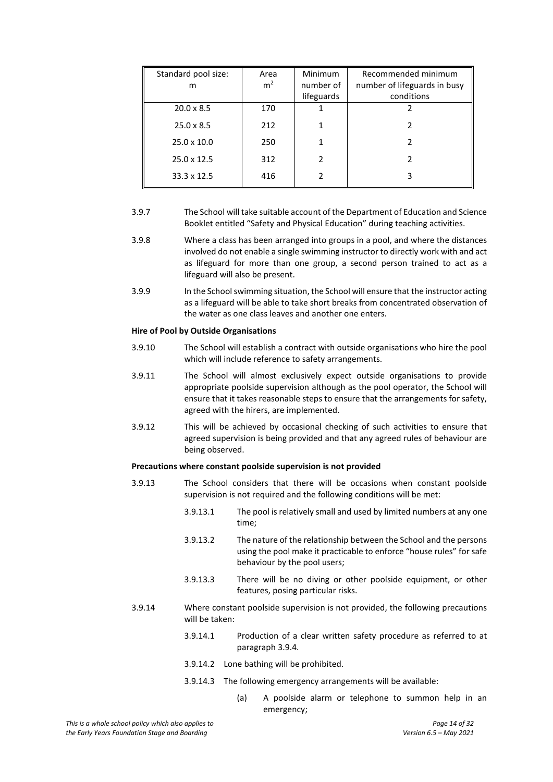| Standard pool size:<br>m | Area<br>m <sup>2</sup> | Minimum<br>number of<br>lifeguards | Recommended minimum<br>number of lifeguards in busy<br>conditions |
|--------------------------|------------------------|------------------------------------|-------------------------------------------------------------------|
| $20.0 \times 8.5$        | 170                    |                                    |                                                                   |
| $25.0 \times 8.5$        | 212                    |                                    |                                                                   |
| $25.0 \times 10.0$       | 250                    |                                    |                                                                   |
| $25.0 \times 12.5$       | 312                    | 2                                  | 2                                                                 |
| $33.3 \times 12.5$       | 416                    | 2                                  | 3                                                                 |

- 3.9.7 The School will take suitable account of the Department of Education and Science Booklet entitled "Safety and Physical Education" during teaching activities.
- 3.9.8 Where a class has been arranged into groups in a pool, and where the distances involved do not enable a single swimming instructor to directly work with and act as lifeguard for more than one group, a second person trained to act as a lifeguard will also be present.
- 3.9.9 In the School swimming situation, the School will ensure that the instructor acting as a lifeguard will be able to take short breaks from concentrated observation of the water as one class leaves and another one enters.

#### **Hire of Pool by Outside Organisations**

- 3.9.10 The School will establish a contract with outside organisations who hire the pool which will include reference to safety arrangements.
- 3.9.11 The School will almost exclusively expect outside organisations to provide appropriate poolside supervision although as the pool operator, the School will ensure that it takes reasonable steps to ensure that the arrangements for safety, agreed with the hirers, are implemented.
- 3.9.12 This will be achieved by occasional checking of such activities to ensure that agreed supervision is being provided and that any agreed rules of behaviour are being observed.

#### **Precautions where constant poolside supervision is not provided**

- 3.9.13 The School considers that there will be occasions when constant poolside supervision is not required and the following conditions will be met:
	- 3.9.13.1 The pool is relatively small and used by limited numbers at any one time;
	- 3.9.13.2 The nature of the relationship between the School and the persons using the pool make it practicable to enforce "house rules" for safe behaviour by the pool users;
	- 3.9.13.3 There will be no diving or other poolside equipment, or other features, posing particular risks.
- 3.9.14 Where constant poolside supervision is not provided, the following precautions will be taken:
	- 3.9.14.1 Production of a clear written safety procedure as referred to at paragraph 3.9.4.
	- 3.9.14.2 Lone bathing will be prohibited.
	- 3.9.14.3 The following emergency arrangements will be available:
		- (a) A poolside alarm or telephone to summon help in an emergency;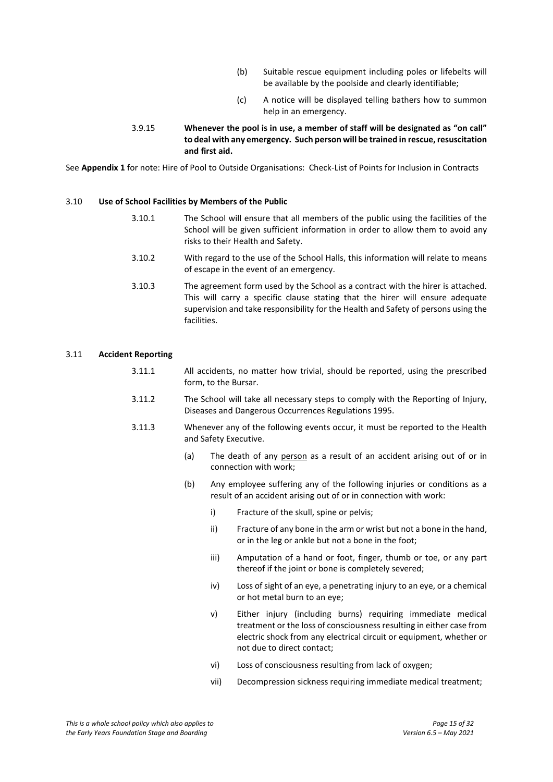- (b) Suitable rescue equipment including poles or lifebelts will be available by the poolside and clearly identifiable;
- (c) A notice will be displayed telling bathers how to summon help in an emergency.
- 3.9.15 **Whenever the pool is in use, a member of staff will be designated as "on call" to deal with any emergency. Such person will be trained in rescue, resuscitation and first aid.**

See **Appendix 1** for note: Hire of Pool to Outside Organisations: Check-List of Points for Inclusion in Contracts

#### 3.10 **Use of School Facilities by Members of the Public**

- 3.10.1 The School will ensure that all members of the public using the facilities of the School will be given sufficient information in order to allow them to avoid any risks to their Health and Safety.
- 3.10.2 With regard to the use of the School Halls, this information will relate to means of escape in the event of an emergency.
- 3.10.3 The agreement form used by the School as a contract with the hirer is attached. This will carry a specific clause stating that the hirer will ensure adequate supervision and take responsibility for the Health and Safety of persons using the facilities.

#### 3.11 **Accident Reporting**

- 3.11.1 All accidents, no matter how trivial, should be reported, using the prescribed form, to the Bursar.
- 3.11.2 The School will take all necessary steps to comply with the Reporting of Injury, Diseases and Dangerous Occurrences Regulations 1995.
- 3.11.3 Whenever any of the following events occur, it must be reported to the Health and Safety Executive.
	- (a) The death of any person as a result of an accident arising out of or in connection with work;
	- (b) Any employee suffering any of the following injuries or conditions as a result of an accident arising out of or in connection with work:
		- i) Fracture of the skull, spine or pelvis;
		- ii) Fracture of any bone in the arm or wrist but not a bone in the hand, or in the leg or ankle but not a bone in the foot;
		- iii) Amputation of a hand or foot, finger, thumb or toe, or any part thereof if the joint or bone is completely severed;
		- iv) Loss of sight of an eye, a penetrating injury to an eye, or a chemical or hot metal burn to an eye;
		- v) Either injury (including burns) requiring immediate medical treatment or the loss of consciousness resulting in either case from electric shock from any electrical circuit or equipment, whether or not due to direct contact;
		- vi) Loss of consciousness resulting from lack of oxygen;
		- vii) Decompression sickness requiring immediate medical treatment;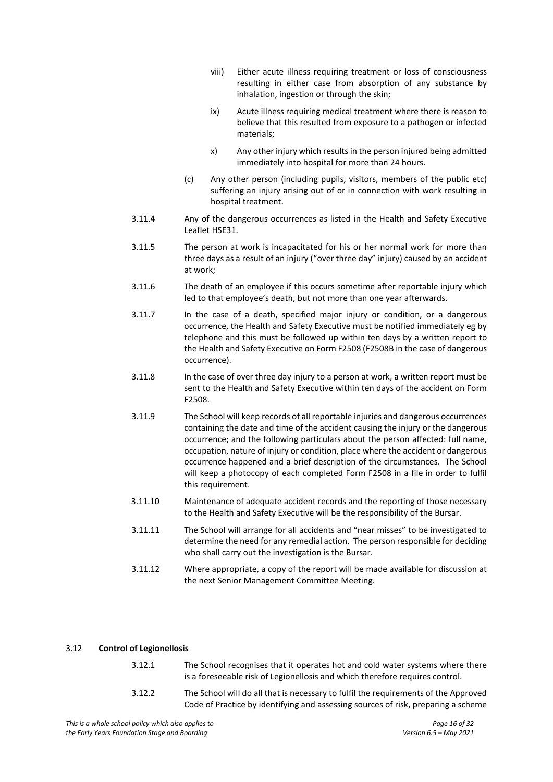- viii) Either acute illness requiring treatment or loss of consciousness resulting in either case from absorption of any substance by inhalation, ingestion or through the skin;
- ix) Acute illness requiring medical treatment where there is reason to believe that this resulted from exposure to a pathogen or infected materials;
- x) Any other injury which results in the person injured being admitted immediately into hospital for more than 24 hours.
- (c) Any other person (including pupils, visitors, members of the public etc) suffering an injury arising out of or in connection with work resulting in hospital treatment.
- 3.11.4 Any of the dangerous occurrences as listed in the Health and Safety Executive Leaflet HSE31.
- 3.11.5 The person at work is incapacitated for his or her normal work for more than three days as a result of an injury ("over three day" injury) caused by an accident at work;
- 3.11.6 The death of an employee if this occurs sometime after reportable injury which led to that employee's death, but not more than one year afterwards.
- 3.11.7 In the case of a death, specified major injury or condition, or a dangerous occurrence, the Health and Safety Executive must be notified immediately eg by telephone and this must be followed up within ten days by a written report to the Health and Safety Executive on Form F2508 (F2508B in the case of dangerous occurrence).
- 3.11.8 In the case of over three day injury to a person at work, a written report must be sent to the Health and Safety Executive within ten days of the accident on Form F2508.
- 3.11.9 The School will keep records of all reportable injuries and dangerous occurrences containing the date and time of the accident causing the injury or the dangerous occurrence; and the following particulars about the person affected: full name, occupation, nature of injury or condition, place where the accident or dangerous occurrence happened and a brief description of the circumstances. The School will keep a photocopy of each completed Form F2508 in a file in order to fulfil this requirement.
- 3.11.10 Maintenance of adequate accident records and the reporting of those necessary to the Health and Safety Executive will be the responsibility of the Bursar.
- 3.11.11 The School will arrange for all accidents and "near misses" to be investigated to determine the need for any remedial action. The person responsible for deciding who shall carry out the investigation is the Bursar.
- 3.11.12 Where appropriate, a copy of the report will be made available for discussion at the next Senior Management Committee Meeting.

## 3.12 **Control of Legionellosis**

- 3.12.1 The School recognises that it operates hot and cold water systems where there is a foreseeable risk of Legionellosis and which therefore requires control.
- 3.12.2 The School will do all that is necessary to fulfil the requirements of the Approved Code of Practice by identifying and assessing sources of risk, preparing a scheme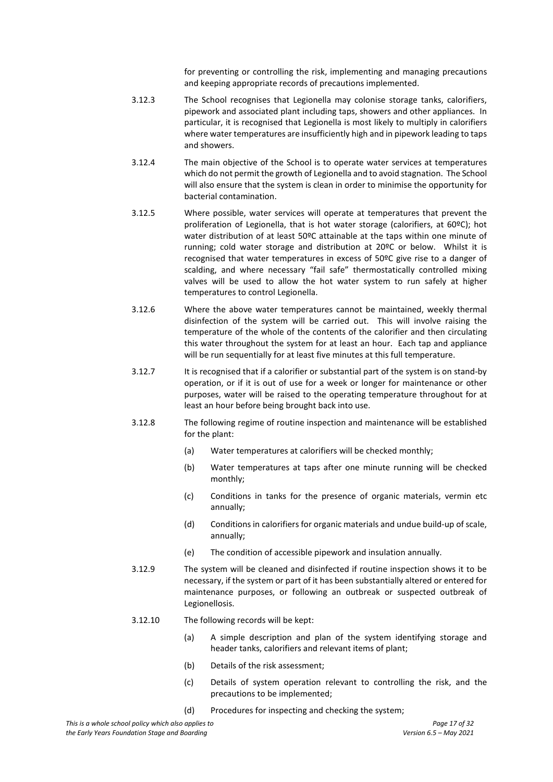for preventing or controlling the risk, implementing and managing precautions and keeping appropriate records of precautions implemented.

- 3.12.3 The School recognises that Legionella may colonise storage tanks, calorifiers, pipework and associated plant including taps, showers and other appliances. In particular, it is recognised that Legionella is most likely to multiply in calorifiers where water temperatures are insufficiently high and in pipework leading to taps and showers.
- 3.12.4 The main objective of the School is to operate water services at temperatures which do not permit the growth of Legionella and to avoid stagnation. The School will also ensure that the system is clean in order to minimise the opportunity for bacterial contamination.
- 3.12.5 Where possible, water services will operate at temperatures that prevent the proliferation of Legionella, that is hot water storage (calorifiers, at 60ºC); hot water distribution of at least 50ºC attainable at the taps within one minute of running; cold water storage and distribution at 20ºC or below. Whilst it is recognised that water temperatures in excess of 50ºC give rise to a danger of scalding, and where necessary "fail safe" thermostatically controlled mixing valves will be used to allow the hot water system to run safely at higher temperatures to control Legionella.
- 3.12.6 Where the above water temperatures cannot be maintained, weekly thermal disinfection of the system will be carried out. This will involve raising the temperature of the whole of the contents of the calorifier and then circulating this water throughout the system for at least an hour. Each tap and appliance will be run sequentially for at least five minutes at this full temperature.
- 3.12.7 It is recognised that if a calorifier or substantial part of the system is on stand-by operation, or if it is out of use for a week or longer for maintenance or other purposes, water will be raised to the operating temperature throughout for at least an hour before being brought back into use.
- 3.12.8 The following regime of routine inspection and maintenance will be established for the plant:
	- (a) Water temperatures at calorifiers will be checked monthly;
	- (b) Water temperatures at taps after one minute running will be checked monthly;
	- (c) Conditions in tanks for the presence of organic materials, vermin etc annually;
	- (d) Conditions in calorifiers for organic materials and undue build-up of scale, annually;
	- (e) The condition of accessible pipework and insulation annually.
- 3.12.9 The system will be cleaned and disinfected if routine inspection shows it to be necessary, if the system or part of it has been substantially altered or entered for maintenance purposes, or following an outbreak or suspected outbreak of Legionellosis.
- 3.12.10 The following records will be kept:
	- (a) A simple description and plan of the system identifying storage and header tanks, calorifiers and relevant items of plant;
	- (b) Details of the risk assessment;
	- (c) Details of system operation relevant to controlling the risk, and the precautions to be implemented;
	- (d) Procedures for inspecting and checking the system;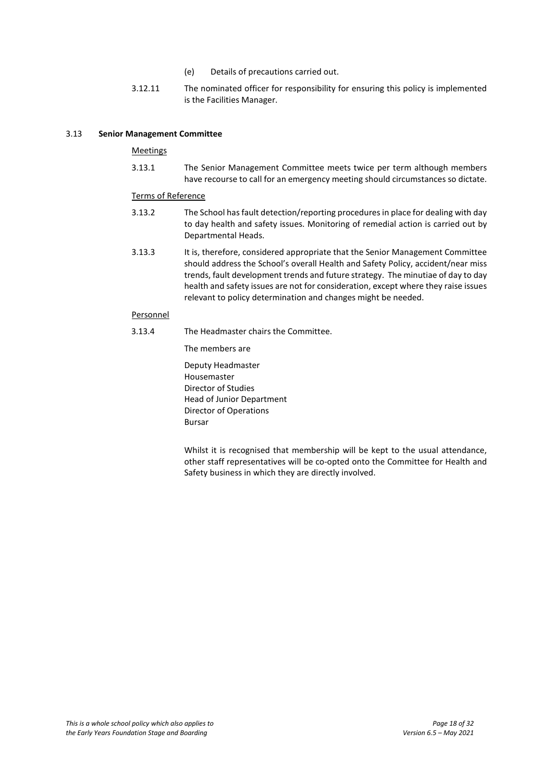- (e) Details of precautions carried out.
- 3.12.11 The nominated officer for responsibility for ensuring this policy is implemented is the Facilities Manager.

#### 3.13 **Senior Management Committee**

### Meetings

3.13.1 The Senior Management Committee meets twice per term although members have recourse to call for an emergency meeting should circumstances so dictate.

#### Terms of Reference

- 3.13.2 The School has fault detection/reporting procedures in place for dealing with day to day health and safety issues. Monitoring of remedial action is carried out by Departmental Heads.
- 3.13.3 It is, therefore, considered appropriate that the Senior Management Committee should address the School's overall Health and Safety Policy, accident/near miss trends, fault development trends and future strategy. The minutiae of day to day health and safety issues are not for consideration, except where they raise issues relevant to policy determination and changes might be needed.

#### **Personnel**

3.13.4 The Headmaster chairs the Committee.

The members are

Deputy Headmaster Housemaster Director of Studies Head of Junior Department Director of Operations Bursar

Whilst it is recognised that membership will be kept to the usual attendance, other staff representatives will be co-opted onto the Committee for Health and Safety business in which they are directly involved.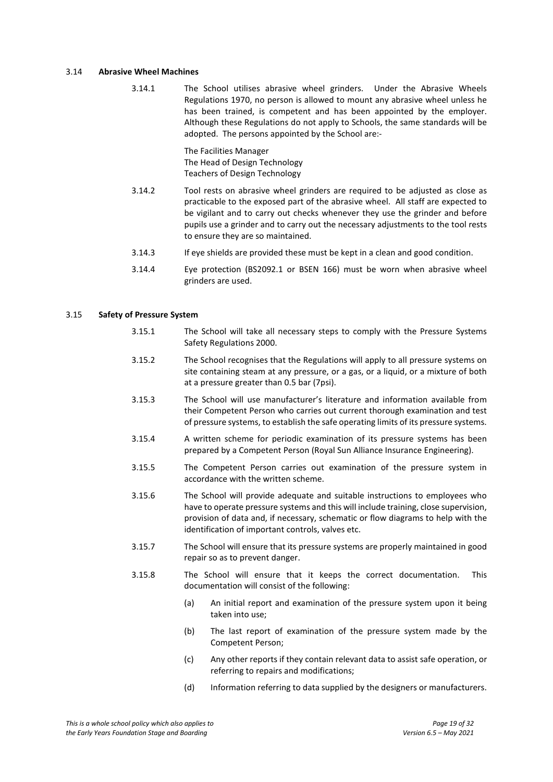#### 3.14 **Abrasive Wheel Machines**

3.14.1 The School utilises abrasive wheel grinders. Under the Abrasive Wheels Regulations 1970, no person is allowed to mount any abrasive wheel unless he has been trained, is competent and has been appointed by the employer. Although these Regulations do not apply to Schools, the same standards will be adopted. The persons appointed by the School are:-

> The Facilities Manager The Head of Design Technology Teachers of Design Technology

- 3.14.2 Tool rests on abrasive wheel grinders are required to be adjusted as close as practicable to the exposed part of the abrasive wheel. All staff are expected to be vigilant and to carry out checks whenever they use the grinder and before pupils use a grinder and to carry out the necessary adjustments to the tool rests to ensure they are so maintained.
- 3.14.3 If eye shields are provided these must be kept in a clean and good condition.
- 3.14.4 Eye protection (BS2092.1 or BSEN 166) must be worn when abrasive wheel grinders are used.

## 3.15 **Safety of Pressure System**

- 3.15.1 The School will take all necessary steps to comply with the Pressure Systems Safety Regulations 2000.
- 3.15.2 The School recognises that the Regulations will apply to all pressure systems on site containing steam at any pressure, or a gas, or a liquid, or a mixture of both at a pressure greater than 0.5 bar (7psi).
- 3.15.3 The School will use manufacturer's literature and information available from their Competent Person who carries out current thorough examination and test of pressure systems, to establish the safe operating limits of its pressure systems.
- 3.15.4 A written scheme for periodic examination of its pressure systems has been prepared by a Competent Person (Royal Sun Alliance Insurance Engineering).
- 3.15.5 The Competent Person carries out examination of the pressure system in accordance with the written scheme.
- 3.15.6 The School will provide adequate and suitable instructions to employees who have to operate pressure systems and this will include training, close supervision, provision of data and, if necessary, schematic or flow diagrams to help with the identification of important controls, valves etc.
- 3.15.7 The School will ensure that its pressure systems are properly maintained in good repair so as to prevent danger.
- 3.15.8 The School will ensure that it keeps the correct documentation. This documentation will consist of the following:
	- (a) An initial report and examination of the pressure system upon it being taken into use;
	- (b) The last report of examination of the pressure system made by the Competent Person;
	- (c) Any other reports if they contain relevant data to assist safe operation, or referring to repairs and modifications;
	- (d) Information referring to data supplied by the designers or manufacturers.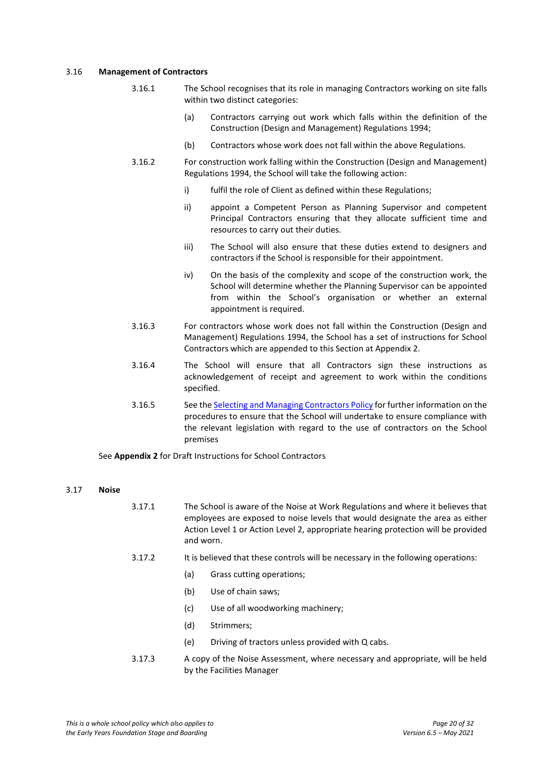#### 3.16 **Management of Contractors**

- 3.16.1 The School recognises that its role in managing Contractors working on site falls within two distinct categories:
	- (a) Contractors carrying out work which falls within the definition of the Construction (Design and Management) Regulations 1994;
	- (b) Contractors whose work does not fall within the above Regulations.
- 3.16.2 For construction work falling within the Construction (Design and Management) Regulations 1994, the School will take the following action:
	- i) fulfil the role of Client as defined within these Regulations;
	- ii) appoint a Competent Person as Planning Supervisor and competent Principal Contractors ensuring that they allocate sufficient time and resources to carry out their duties.
	- iii) The School will also ensure that these duties extend to designers and contractors if the School is responsible for their appointment.
	- iv) On the basis of the complexity and scope of the construction work, the School will determine whether the Planning Supervisor can be appointed from within the School's organisation or whether an external appointment is required.
- 3.16.3 For contractors whose work does not fall within the Construction (Design and Management) Regulations 1994, the School has a set of instructions for School Contractors which are appended to this Section at Appendix 2.
- 3.16.4 The School will ensure that all Contractors sign these instructions as acknowledgement of receipt and agreement to work within the conditions specified.
- 3.16.5 See the [Selecting and Managing Contractors Policy](https://www.sjcs.co.uk/sites/default/files/styles/Health%20and%20Safety/Selecting%20and%20Managing%20Contractors.pdf) for further information on the procedures to ensure that the School will undertake to ensure compliance with the relevant legislation with regard to the use of contractors on the School premises

See **Appendix 2** for Draft Instructions for School Contractors

## 3.17 **Noise**

- 3.17.1 The School is aware of the Noise at Work Regulations and where it believes that employees are exposed to noise levels that would designate the area as either Action Level 1 or Action Level 2, appropriate hearing protection will be provided and worn.
- 3.17.2 It is believed that these controls will be necessary in the following operations:
	- (a) Grass cutting operations;
	- (b) Use of chain saws;
	- (c) Use of all woodworking machinery;
	- (d) Strimmers;
	- (e) Driving of tractors unless provided with Q cabs.
- 3.17.3 A copy of the Noise Assessment, where necessary and appropriate, will be held by the Facilities Manager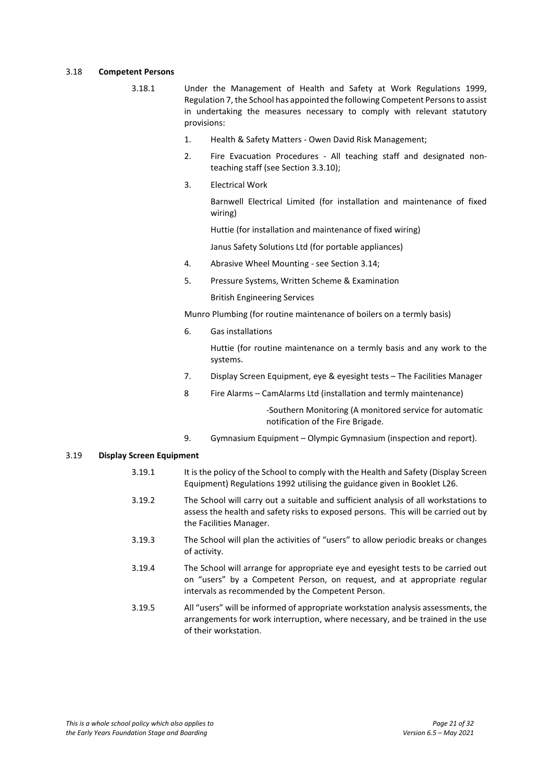#### 3.18 **Competent Persons**

- 3.18.1 Under the Management of Health and Safety at Work Regulations 1999, Regulation 7, the School has appointed the following Competent Persons to assist in undertaking the measures necessary to comply with relevant statutory provisions:
	- 1. Health & Safety Matters Owen David Risk Management;
	- 2. Fire Evacuation Procedures All teaching staff and designated nonteaching staff (see Section 3.3.10);
	- 3. Electrical Work

Barnwell Electrical Limited (for installation and maintenance of fixed wiring)

Huttie (for installation and maintenance of fixed wiring)

Janus Safety Solutions Ltd (for portable appliances)

- 4. Abrasive Wheel Mounting see Section 3.14;
- 5. Pressure Systems, Written Scheme & Examination

British Engineering Services

Munro Plumbing (for routine maintenance of boilers on a termly basis)

6. Gas installations

Huttie (for routine maintenance on a termly basis and any work to the systems.

- 7. Display Screen Equipment, eye & eyesight tests The Facilities Manager
- 8 Fire Alarms CamAlarms Ltd (installation and termly maintenance)

-Southern Monitoring (A monitored service for automatic notification of the Fire Brigade.

9. Gymnasium Equipment – Olympic Gymnasium (inspection and report).

## 3.19 **Display Screen Equipment**

- 3.19.1 It is the policy of the School to comply with the Health and Safety (Display Screen Equipment) Regulations 1992 utilising the guidance given in Booklet L26.
- 3.19.2 The School will carry out a suitable and sufficient analysis of all workstations to assess the health and safety risks to exposed persons. This will be carried out by the Facilities Manager.
- 3.19.3 The School will plan the activities of "users" to allow periodic breaks or changes of activity.
- 3.19.4 The School will arrange for appropriate eye and eyesight tests to be carried out on "users" by a Competent Person, on request, and at appropriate regular intervals as recommended by the Competent Person.
- 3.19.5 All "users" will be informed of appropriate workstation analysis assessments, the arrangements for work interruption, where necessary, and be trained in the use of their workstation.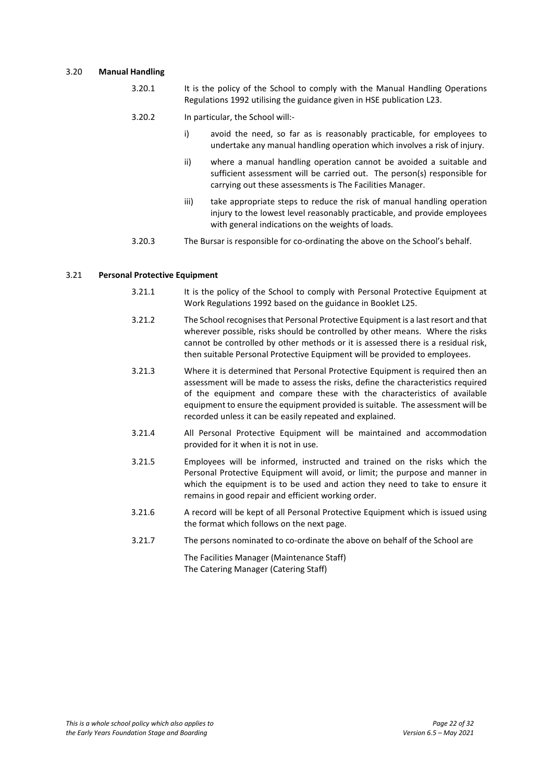#### 3.20 **Manual Handling**

- 3.20.1 It is the policy of the School to comply with the Manual Handling Operations Regulations 1992 utilising the guidance given in HSE publication L23.
- 3.20.2 In particular, the School will:
	- i) avoid the need, so far as is reasonably practicable, for employees to undertake any manual handling operation which involves a risk of injury.
		- ii) where a manual handling operation cannot be avoided a suitable and sufficient assessment will be carried out. The person(s) responsible for carrying out these assessments is The Facilities Manager.
	- iii) take appropriate steps to reduce the risk of manual handling operation injury to the lowest level reasonably practicable, and provide employees with general indications on the weights of loads.
- 3.20.3 The Bursar is responsible for co-ordinating the above on the School's behalf.

#### 3.21 **Personal Protective Equipment**

- 3.21.1 It is the policy of the School to comply with Personal Protective Equipment at Work Regulations 1992 based on the guidance in Booklet L25.
- 3.21.2 The School recognises that Personal Protective Equipment is a last resort and that wherever possible, risks should be controlled by other means. Where the risks cannot be controlled by other methods or it is assessed there is a residual risk, then suitable Personal Protective Equipment will be provided to employees.
- 3.21.3 Where it is determined that Personal Protective Equipment is required then an assessment will be made to assess the risks, define the characteristics required of the equipment and compare these with the characteristics of available equipment to ensure the equipment provided is suitable. The assessment will be recorded unless it can be easily repeated and explained.
- 3.21.4 All Personal Protective Equipment will be maintained and accommodation provided for it when it is not in use.
- 3.21.5 Employees will be informed, instructed and trained on the risks which the Personal Protective Equipment will avoid, or limit; the purpose and manner in which the equipment is to be used and action they need to take to ensure it remains in good repair and efficient working order.
- 3.21.6 A record will be kept of all Personal Protective Equipment which is issued using the format which follows on the next page.
- 3.21.7 The persons nominated to co-ordinate the above on behalf of the School are

The Facilities Manager (Maintenance Staff) The Catering Manager (Catering Staff)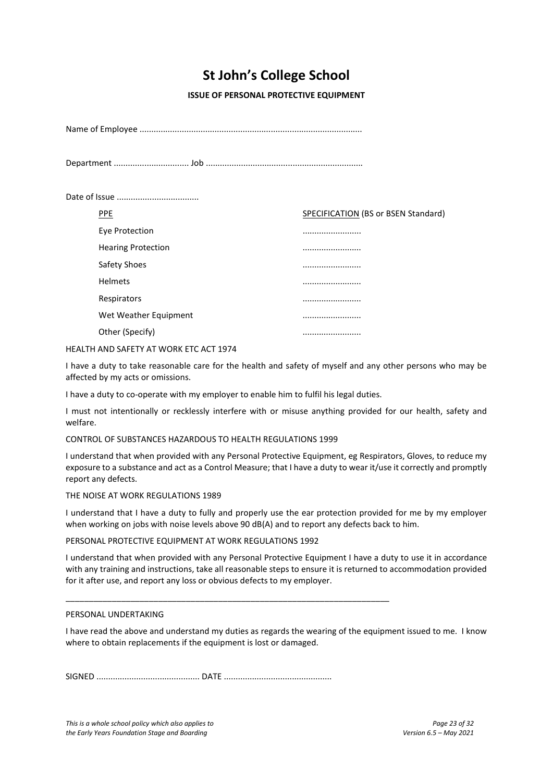## **St John's College School**

**ISSUE OF PERSONAL PROTECTIVE EQUIPMENT**

Name of Employee ...............................................................................................

Department ................................ Job ...................................................................

Date of Issue ...................................

| <b>PPE</b>                | SPECIFICATION (BS or BSEN Standard) |
|---------------------------|-------------------------------------|
| Eye Protection            |                                     |
| <b>Hearing Protection</b> |                                     |
| Safety Shoes              |                                     |
| <b>Helmets</b>            |                                     |
| Respirators               |                                     |
| Wet Weather Equipment     |                                     |
| Other (Specify)           |                                     |

HEALTH AND SAFETY AT WORK ETC ACT 1974

I have a duty to take reasonable care for the health and safety of myself and any other persons who may be affected by my acts or omissions.

I have a duty to co-operate with my employer to enable him to fulfil his legal duties.

I must not intentionally or recklessly interfere with or misuse anything provided for our health, safety and welfare.

CONTROL OF SUBSTANCES HAZARDOUS TO HEALTH REGULATIONS 1999

I understand that when provided with any Personal Protective Equipment, eg Respirators, Gloves, to reduce my exposure to a substance and act as a Control Measure; that I have a duty to wear it/use it correctly and promptly report any defects.

## THE NOISE AT WORK REGULATIONS 1989

I understand that I have a duty to fully and properly use the ear protection provided for me by my employer when working on jobs with noise levels above 90 dB(A) and to report any defects back to him.

PERSONAL PROTECTIVE EQUIPMENT AT WORK REGULATIONS 1992

I understand that when provided with any Personal Protective Equipment I have a duty to use it in accordance with any training and instructions, take all reasonable steps to ensure it is returned to accommodation provided for it after use, and report any loss or obvious defects to my employer.

## PERSONAL UNDERTAKING

I have read the above and understand my duties as regards the wearing of the equipment issued to me. I know where to obtain replacements if the equipment is lost or damaged.

SIGNED ............................................ DATE ..............................................

\_\_\_\_\_\_\_\_\_\_\_\_\_\_\_\_\_\_\_\_\_\_\_\_\_\_\_\_\_\_\_\_\_\_\_\_\_\_\_\_\_\_\_\_\_\_\_\_\_\_\_\_\_\_\_\_\_\_\_\_\_\_\_\_\_\_\_\_\_\_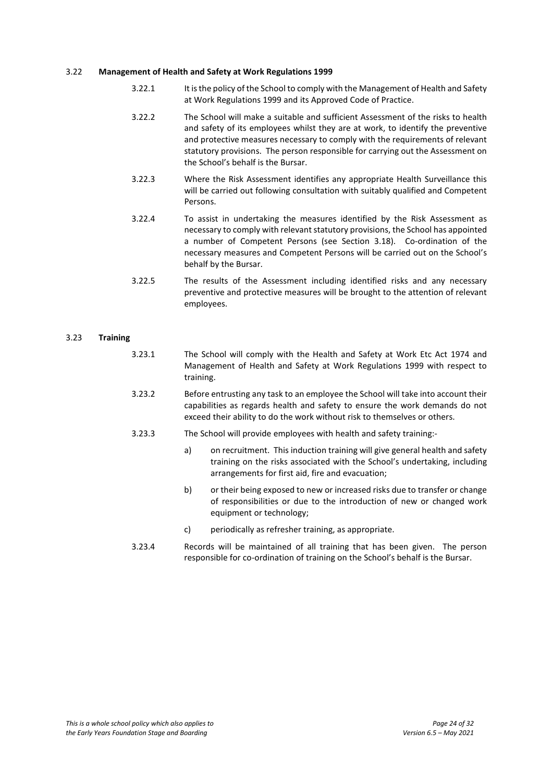#### 3.22 **Management of Health and Safety at Work Regulations 1999**

- 3.22.1 It is the policy of the School to comply with the Management of Health and Safety at Work Regulations 1999 and its Approved Code of Practice.
- 3.22.2 The School will make a suitable and sufficient Assessment of the risks to health and safety of its employees whilst they are at work, to identify the preventive and protective measures necessary to comply with the requirements of relevant statutory provisions. The person responsible for carrying out the Assessment on the School's behalf is the Bursar.
- 3.22.3 Where the Risk Assessment identifies any appropriate Health Surveillance this will be carried out following consultation with suitably qualified and Competent **Persons**
- 3.22.4 To assist in undertaking the measures identified by the Risk Assessment as necessary to comply with relevant statutory provisions, the School has appointed a number of Competent Persons (see Section 3.18). Co-ordination of the necessary measures and Competent Persons will be carried out on the School's behalf by the Bursar.
- 3.22.5 The results of the Assessment including identified risks and any necessary preventive and protective measures will be brought to the attention of relevant employees.

## 3.23 **Training**

- 3.23.1 The School will comply with the Health and Safety at Work Etc Act 1974 and Management of Health and Safety at Work Regulations 1999 with respect to training.
- 3.23.2 Before entrusting any task to an employee the School will take into account their capabilities as regards health and safety to ensure the work demands do not exceed their ability to do the work without risk to themselves or others.
- 3.23.3 The School will provide employees with health and safety training:
	- a) on recruitment. This induction training will give general health and safety training on the risks associated with the School's undertaking, including arrangements for first aid, fire and evacuation;
	- b) or their being exposed to new or increased risks due to transfer or change of responsibilities or due to the introduction of new or changed work equipment or technology;
	- c) periodically as refresher training, as appropriate.
- 3.23.4 Records will be maintained of all training that has been given. The person responsible for co-ordination of training on the School's behalf is the Bursar.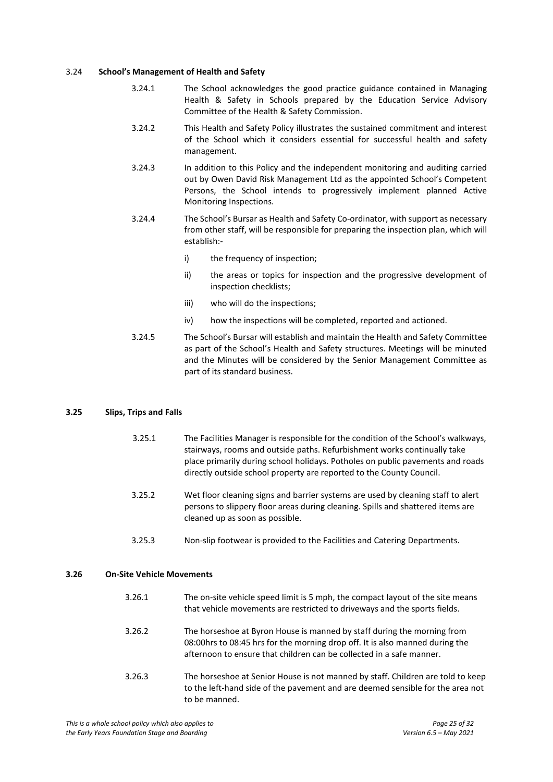#### 3.24 **School's Management of Health and Safety**

- 3.24.1 The School acknowledges the good practice guidance contained in Managing Health & Safety in Schools prepared by the Education Service Advisory Committee of the Health & Safety Commission.
- 3.24.2 This Health and Safety Policy illustrates the sustained commitment and interest of the School which it considers essential for successful health and safety management.
- 3.24.3 In addition to this Policy and the independent monitoring and auditing carried out by Owen David Risk Management Ltd as the appointed School's Competent Persons, the School intends to progressively implement planned Active Monitoring Inspections.
- 3.24.4 The School's Bursar as Health and Safety Co-ordinator, with support as necessary from other staff, will be responsible for preparing the inspection plan, which will establish:
	- i) the frequency of inspection;
	- ii) the areas or topics for inspection and the progressive development of inspection checklists;
	- iii) who will do the inspections;
	- iv) how the inspections will be completed, reported and actioned.
- 3.24.5 The School's Bursar will establish and maintain the Health and Safety Committee as part of the School's Health and Safety structures. Meetings will be minuted and the Minutes will be considered by the Senior Management Committee as part of its standard business.

## **3.25 Slips, Trips and Falls**

- 3.25.1 The Facilities Manager is responsible for the condition of the School's walkways, stairways, rooms and outside paths. Refurbishment works continually take place primarily during school holidays. Potholes on public pavements and roads directly outside school property are reported to the County Council.
- 3.25.2 Wet floor cleaning signs and barrier systems are used by cleaning staff to alert persons to slippery floor areas during cleaning. Spills and shattered items are cleaned up as soon as possible.
- 3.25.3 Non-slip footwear is provided to the Facilities and Catering Departments.

#### **3.26 On-Site Vehicle Movements**

| 3.26.1 | The on-site vehicle speed limit is 5 mph, the compact layout of the site means |
|--------|--------------------------------------------------------------------------------|
|        | that vehicle movements are restricted to driveways and the sports fields.      |

- 3.26.2 The horseshoe at Byron House is manned by staff during the morning from 08:00hrs to 08:45 hrs for the morning drop off. It is also manned during the afternoon to ensure that children can be collected in a safe manner.
- 3.26.3 The horseshoe at Senior House is not manned by staff. Children are told to keep to the left-hand side of the pavement and are deemed sensible for the area not to be manned.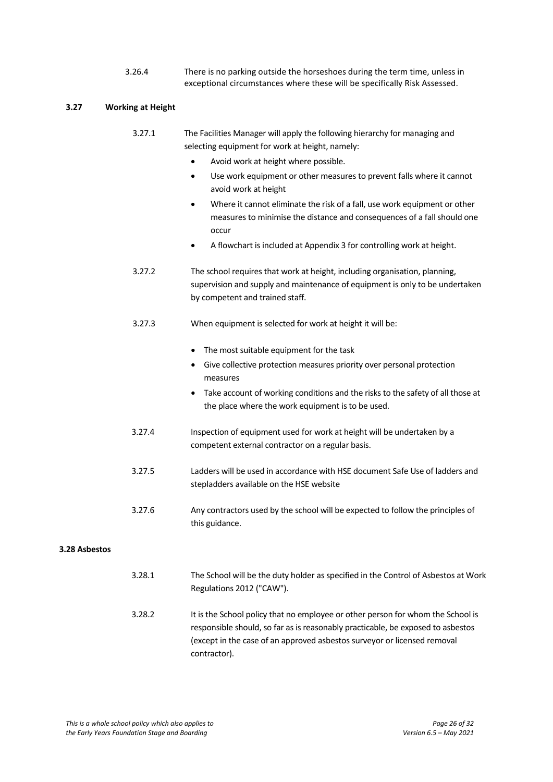3.26.4 There is no parking outside the horseshoes during the term time, unless in exceptional circumstances where these will be specifically Risk Assessed.

## **3.27 Working at Height**

| 3.27.1 | The Facilities Manager will apply the following hierarchy for managing and |
|--------|----------------------------------------------------------------------------|
|        | selecting equipment for work at height, namely:                            |

- Avoid work at height where possible.
- Use work equipment or other measures to prevent falls where it cannot avoid work at height
- Where it cannot eliminate the risk of a fall, use work equipment or other measures to minimise the distance and consequences of a fall should one occur
- A flowchart is included at Appendix 3 for controlling work at height.
- 3.27.2 The school requires that work at height, including organisation, planning, supervision and supply and maintenance of equipment is only to be undertaken by competent and trained staff.
- 3.27.3 When equipment is selected for work at height it will be:
	- The most suitable equipment for the task
	- Give collective protection measures priority over personal protection measures
	- Take account of working conditions and the risks to the safety of all those at the place where the work equipment is to be used.
- 3.27.4 Inspection of equipment used for work at height will be undertaken by a competent external contractor on a regular basis.
- 3.27.5 Ladders will be used in accordance with HSE document Safe Use of ladders and stepladders available on the HSE website
- 3.27.6 Any contractors used by the school will be expected to follow the principles of this guidance.

## **3.28 Asbestos**

- 3.28.1 The School will be the duty holder as specified in the Control of Asbestos at Work Regulations 2012 ("CAW").
- 3.28.2 It is the School policy that no employee or other person for whom the School is responsible should, so far as is reasonably practicable, be exposed to asbestos (except in the case of an approved asbestos surveyor or licensed removal contractor).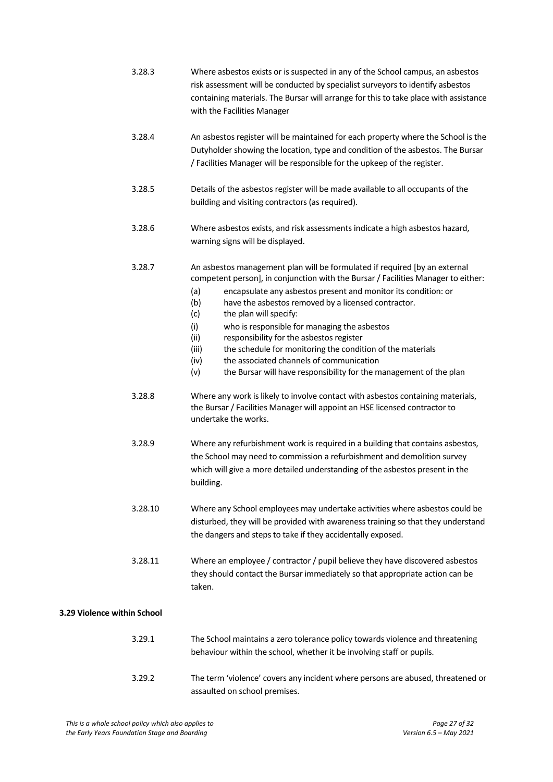|                             | 3.28.3  | Where asbestos exists or is suspected in any of the School campus, an asbestos<br>risk assessment will be conducted by specialist surveyors to identify asbestos<br>containing materials. The Bursar will arrange for this to take place with assistance<br>with the Facilities Manager                                                                                                                                                                                                                                                                                                                                                                    |
|-----------------------------|---------|------------------------------------------------------------------------------------------------------------------------------------------------------------------------------------------------------------------------------------------------------------------------------------------------------------------------------------------------------------------------------------------------------------------------------------------------------------------------------------------------------------------------------------------------------------------------------------------------------------------------------------------------------------|
|                             | 3.28.4  | An asbestos register will be maintained for each property where the School is the<br>Dutyholder showing the location, type and condition of the asbestos. The Bursar<br>/ Facilities Manager will be responsible for the upkeep of the register.                                                                                                                                                                                                                                                                                                                                                                                                           |
|                             | 3.28.5  | Details of the asbestos register will be made available to all occupants of the<br>building and visiting contractors (as required).                                                                                                                                                                                                                                                                                                                                                                                                                                                                                                                        |
|                             | 3.28.6  | Where asbestos exists, and risk assessments indicate a high asbestos hazard,<br>warning signs will be displayed.                                                                                                                                                                                                                                                                                                                                                                                                                                                                                                                                           |
|                             | 3.28.7  | An asbestos management plan will be formulated if required [by an external<br>competent person], in conjunction with the Bursar / Facilities Manager to either:<br>(a)<br>encapsulate any asbestos present and monitor its condition: or<br>(b)<br>have the asbestos removed by a licensed contractor.<br>(c)<br>the plan will specify:<br>(i)<br>who is responsible for managing the asbestos<br>responsibility for the asbestos register<br>(ii)<br>the schedule for monitoring the condition of the materials<br>(iii)<br>the associated channels of communication<br>(iv)<br>(v)<br>the Bursar will have responsibility for the management of the plan |
|                             | 3.28.8  | Where any work is likely to involve contact with asbestos containing materials,<br>the Bursar / Facilities Manager will appoint an HSE licensed contractor to<br>undertake the works.                                                                                                                                                                                                                                                                                                                                                                                                                                                                      |
|                             | 3.28.9  | Where any refurbishment work is required in a building that contains asbestos,<br>the School may need to commission a refurbishment and demolition survey<br>which will give a more detailed understanding of the asbestos present in the<br>building.                                                                                                                                                                                                                                                                                                                                                                                                     |
|                             | 3.28.10 | Where any School employees may undertake activities where asbestos could be<br>disturbed, they will be provided with awareness training so that they understand<br>the dangers and steps to take if they accidentally exposed.                                                                                                                                                                                                                                                                                                                                                                                                                             |
|                             | 3.28.11 | Where an employee / contractor / pupil believe they have discovered asbestos<br>they should contact the Bursar immediately so that appropriate action can be<br>taken.                                                                                                                                                                                                                                                                                                                                                                                                                                                                                     |
| 3.29 Violence within School |         |                                                                                                                                                                                                                                                                                                                                                                                                                                                                                                                                                                                                                                                            |
|                             | 3.29.1  | The School maintains a zero tolerance policy towards violence and threatening<br>behaviour within the school, whether it be involving staff or pupils.                                                                                                                                                                                                                                                                                                                                                                                                                                                                                                     |
|                             | 3.29.2  | The term 'violence' covers any incident where persons are abused, threatened or                                                                                                                                                                                                                                                                                                                                                                                                                                                                                                                                                                            |

assaulted on school premises.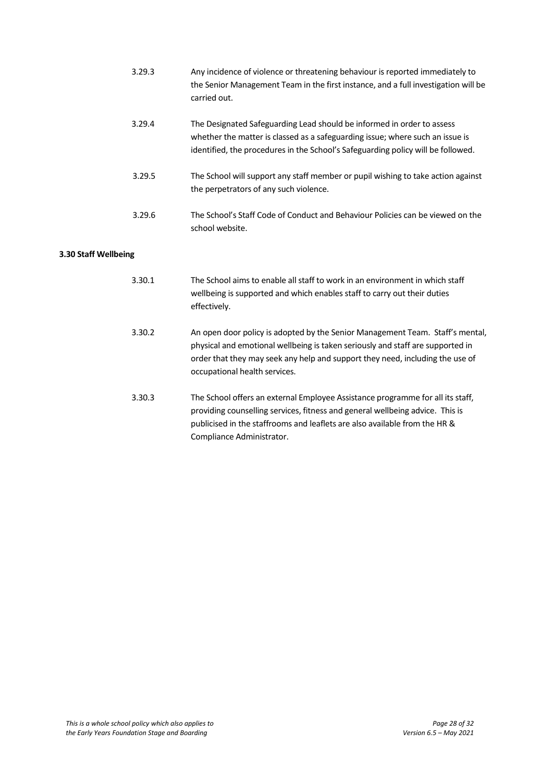|                      | 3.29.3 | Any incidence of violence or threatening behaviour is reported immediately to<br>the Senior Management Team in the first instance, and a full investigation will be<br>carried out.                                                                                               |
|----------------------|--------|-----------------------------------------------------------------------------------------------------------------------------------------------------------------------------------------------------------------------------------------------------------------------------------|
|                      | 3.29.4 | The Designated Safeguarding Lead should be informed in order to assess<br>whether the matter is classed as a safeguarding issue; where such an issue is<br>identified, the procedures in the School's Safeguarding policy will be followed.                                       |
|                      | 3.29.5 | The School will support any staff member or pupil wishing to take action against<br>the perpetrators of any such violence.                                                                                                                                                        |
|                      | 3.29.6 | The School's Staff Code of Conduct and Behaviour Policies can be viewed on the<br>school website.                                                                                                                                                                                 |
| 3.30 Staff Wellbeing |        |                                                                                                                                                                                                                                                                                   |
|                      | 3.30.1 | The School aims to enable all staff to work in an environment in which staff<br>wellbeing is supported and which enables staff to carry out their duties<br>effectively.                                                                                                          |
|                      | 3.30.2 | An open door policy is adopted by the Senior Management Team. Staff's mental,<br>physical and emotional wellbeing is taken seriously and staff are supported in<br>order that they may seek any help and support they need, including the use of<br>occupational health services. |
|                      | 3.30.3 | The School offers an external Employee Assistance programme for all its staff,<br>providing counselling services, fitness and general wellbeing advice. This is<br>publicised in the staffrooms and leaflets are also available from the HR &<br>Compliance Administrator.        |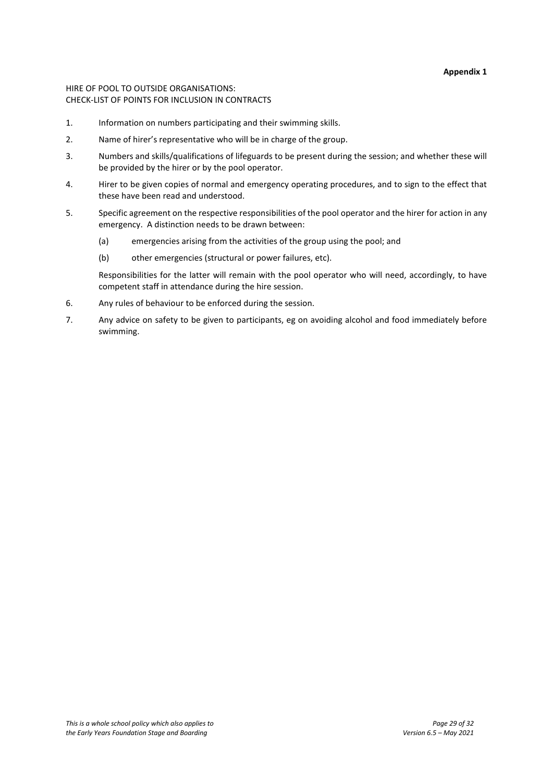#### **Appendix 1**

## HIRE OF POOL TO OUTSIDE ORGANISATIONS: CHECK-LIST OF POINTS FOR INCLUSION IN CONTRACTS

- 1. Information on numbers participating and their swimming skills.
- 2. Name of hirer's representative who will be in charge of the group.
- 3. Numbers and skills/qualifications of lifeguards to be present during the session; and whether these will be provided by the hirer or by the pool operator.
- 4. Hirer to be given copies of normal and emergency operating procedures, and to sign to the effect that these have been read and understood.
- 5. Specific agreement on the respective responsibilities of the pool operator and the hirer for action in any emergency. A distinction needs to be drawn between:
	- (a) emergencies arising from the activities of the group using the pool; and
	- (b) other emergencies (structural or power failures, etc).

Responsibilities for the latter will remain with the pool operator who will need, accordingly, to have competent staff in attendance during the hire session.

- 6. Any rules of behaviour to be enforced during the session.
- 7. Any advice on safety to be given to participants, eg on avoiding alcohol and food immediately before swimming.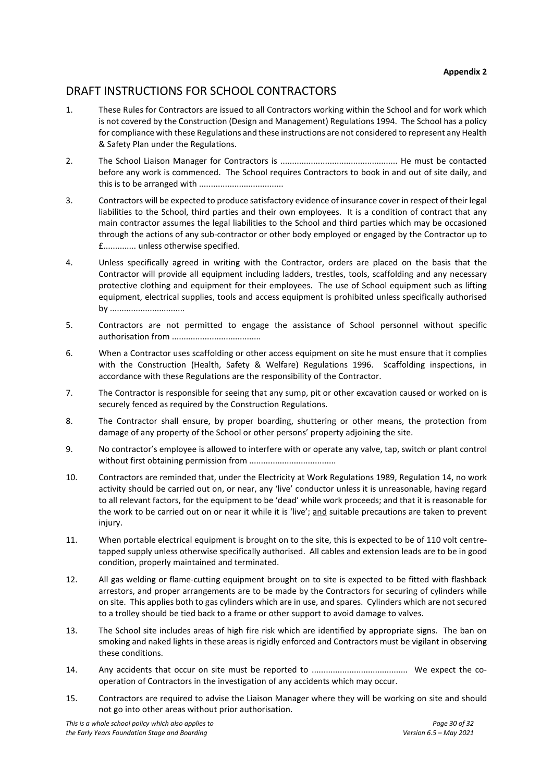**Appendix 2**

## DRAFT INSTRUCTIONS FOR SCHOOL CONTRACTORS

- 1. These Rules for Contractors are issued to all Contractors working within the School and for work which is not covered by the Construction (Design and Management) Regulations 1994. The School has a policy for compliance with these Regulations and these instructions are not considered to represent any Health & Safety Plan under the Regulations.
- 2. The School Liaison Manager for Contractors is .................................................. He must be contacted before any work is commenced. The School requires Contractors to book in and out of site daily, and this is to be arranged with ....................................
- 3. Contractors will be expected to produce satisfactory evidence of insurance cover in respect of their legal liabilities to the School, third parties and their own employees. It is a condition of contract that any main contractor assumes the legal liabilities to the School and third parties which may be occasioned through the actions of any sub-contractor or other body employed or engaged by the Contractor up to £.............. unless otherwise specified.
- 4. Unless specifically agreed in writing with the Contractor, orders are placed on the basis that the Contractor will provide all equipment including ladders, trestles, tools, scaffolding and any necessary protective clothing and equipment for their employees. The use of School equipment such as lifting equipment, electrical supplies, tools and access equipment is prohibited unless specifically authorised by ................................
- 5. Contractors are not permitted to engage the assistance of School personnel without specific authorisation from ......................................
- 6. When a Contractor uses scaffolding or other access equipment on site he must ensure that it complies with the Construction (Health, Safety & Welfare) Regulations 1996. Scaffolding inspections, in accordance with these Regulations are the responsibility of the Contractor.
- 7. The Contractor is responsible for seeing that any sump, pit or other excavation caused or worked on is securely fenced as required by the Construction Regulations.
- 8. The Contractor shall ensure, by proper boarding, shuttering or other means, the protection from damage of any property of the School or other persons' property adjoining the site.
- 9. No contractor's employee is allowed to interfere with or operate any valve, tap, switch or plant control without first obtaining permission from .....................................
- 10. Contractors are reminded that, under the Electricity at Work Regulations 1989, Regulation 14, no work activity should be carried out on, or near, any 'live' conductor unless it is unreasonable, having regard to all relevant factors, for the equipment to be 'dead' while work proceeds; and that it is reasonable for the work to be carried out on or near it while it is 'live'; and suitable precautions are taken to prevent injury.
- 11. When portable electrical equipment is brought on to the site, this is expected to be of 110 volt centretapped supply unless otherwise specifically authorised. All cables and extension leads are to be in good condition, properly maintained and terminated.
- 12. All gas welding or flame-cutting equipment brought on to site is expected to be fitted with flashback arrestors, and proper arrangements are to be made by the Contractors for securing of cylinders while on site. This applies both to gas cylinders which are in use, and spares. Cylinders which are not secured to a trolley should be tied back to a frame or other support to avoid damage to valves.
- 13. The School site includes areas of high fire risk which are identified by appropriate signs. The ban on smoking and naked lights in these areas is rigidly enforced and Contractors must be vigilant in observing these conditions.
- 14. Any accidents that occur on site must be reported to ......................................... We expect the cooperation of Contractors in the investigation of any accidents which may occur.
- 15. Contractors are required to advise the Liaison Manager where they will be working on site and should not go into other areas without prior authorisation.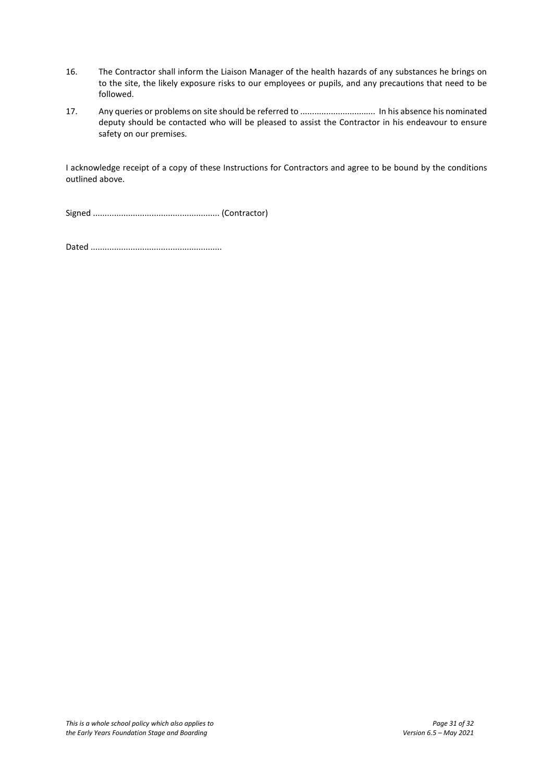- 16. The Contractor shall inform the Liaison Manager of the health hazards of any substances he brings on to the site, the likely exposure risks to our employees or pupils, and any precautions that need to be followed.
- 17. Any queries or problems on site should be referred to ................................ In his absence his nominated deputy should be contacted who will be pleased to assist the Contractor in his endeavour to ensure safety on our premises.

I acknowledge receipt of a copy of these Instructions for Contractors and agree to be bound by the conditions outlined above.

Signed ...................................................... (Contractor)

Dated ........................................................